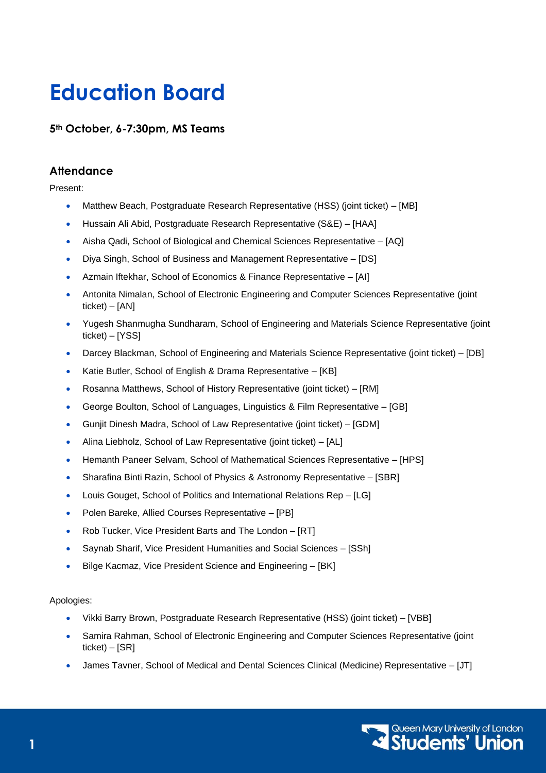# **Education Board**

**5th October, 6-7:30pm, MS Teams**

# **Attendance**

Present:

- Matthew Beach, Postgraduate Research Representative (HSS) (joint ticket) [MB]
- Hussain Ali Abid, Postgraduate Research Representative (S&E) [HAA]
- Aisha Qadi, School of Biological and Chemical Sciences Representative [AQ]
- Diya Singh, School of Business and Management Representative [DS]
- Azmain Iftekhar, School of Economics & Finance Representative [AI]
- Antonita Nimalan, School of Electronic Engineering and Computer Sciences Representative (joint ticket) – [AN]
- Yugesh Shanmugha Sundharam, School of Engineering and Materials Science Representative (joint ticket) – [YSS]
- Darcey Blackman, School of Engineering and Materials Science Representative (joint ticket) [DB]
- Katie Butler, School of English & Drama Representative [KB]
- Rosanna Matthews, School of History Representative (joint ticket) [RM]
- George Boulton, School of Languages, Linguistics & Film Representative [GB]
- Gunjit Dinesh Madra, School of Law Representative (joint ticket) [GDM]
- Alina Liebholz, School of Law Representative (joint ticket) [AL]
- Hemanth Paneer Selvam, School of Mathematical Sciences Representative [HPS]
- Sharafina Binti Razin, School of Physics & Astronomy Representative [SBR]
- Louis Gouget, School of Politics and International Relations Rep [LG]
- Polen Bareke, Allied Courses Representative [PB]
- Rob Tucker, Vice President Barts and The London [RT]
- Saynab Sharif, Vice President Humanities and Social Sciences [SSh]
- Bilge Kacmaz, Vice President Science and Engineering [BK]

#### Apologies:

- Vikki Barry Brown, Postgraduate Research Representative (HSS) (joint ticket) [VBB]
- Samira Rahman, School of Electronic Engineering and Computer Sciences Representative (joint  $ticket$ ) – [SR]
- James Tavner, School of Medical and Dental Sciences Clinical (Medicine) Representative [JT]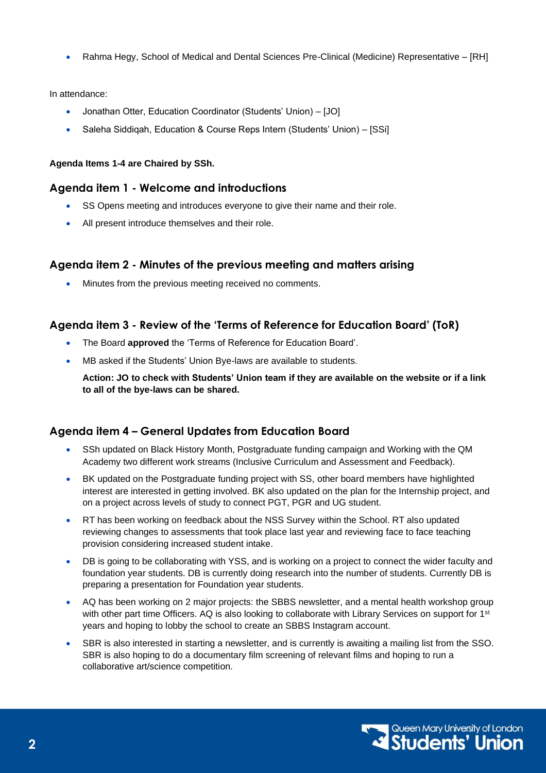• Rahma Hegy, School of Medical and Dental Sciences Pre-Clinical (Medicine) Representative – [RH]

In attendance:

- Jonathan Otter, Education Coordinator (Students' Union) [JO]
- Saleha Siddiqah, Education & Course Reps Intern (Students' Union) [SSi]

#### **Agenda Items 1-4 are Chaired by SSh.**

#### **Agenda item 1 - Welcome and introductions**

- SS Opens meeting and introduces everyone to give their name and their role.
- All present introduce themselves and their role.

# **Agenda item 2 - Minutes of the previous meeting and matters arising**

Minutes from the previous meeting received no comments.

#### **Agenda item 3 - Review of the 'Terms of Reference for Education Board' (ToR)**

- The Board **approved** the 'Terms of Reference for Education Board'.
- MB asked if the Students' Union Bye-laws are available to students.

**Action: JO to check with Students' Union team if they are available on the website or if a link to all of the bye-laws can be shared.** 

# **Agenda item 4 – General Updates from Education Board**

- SSh updated on Black History Month, Postgraduate funding campaign and Working with the QM Academy two different work streams (Inclusive Curriculum and Assessment and Feedback).
- BK updated on the Postgraduate funding project with SS, other board members have highlighted interest are interested in getting involved. BK also updated on the plan for the Internship project, and on a project across levels of study to connect PGT, PGR and UG student.
- RT has been working on feedback about the NSS Survey within the School. RT also updated reviewing changes to assessments that took place last year and reviewing face to face teaching provision considering increased student intake.
- DB is going to be collaborating with YSS, and is working on a project to connect the wider faculty and foundation year students. DB is currently doing research into the number of students. Currently DB is preparing a presentation for Foundation year students.
- AQ has been working on 2 major projects: the SBBS newsletter, and a mental health workshop group with other part time Officers. AQ is also looking to collaborate with Library Services on support for 1<sup>st</sup> years and hoping to lobby the school to create an SBBS Instagram account.
- SBR is also interested in starting a newsletter, and is currently is awaiting a mailing list from the SSO. SBR is also hoping to do a documentary film screening of relevant films and hoping to run a collaborative art/science competition.

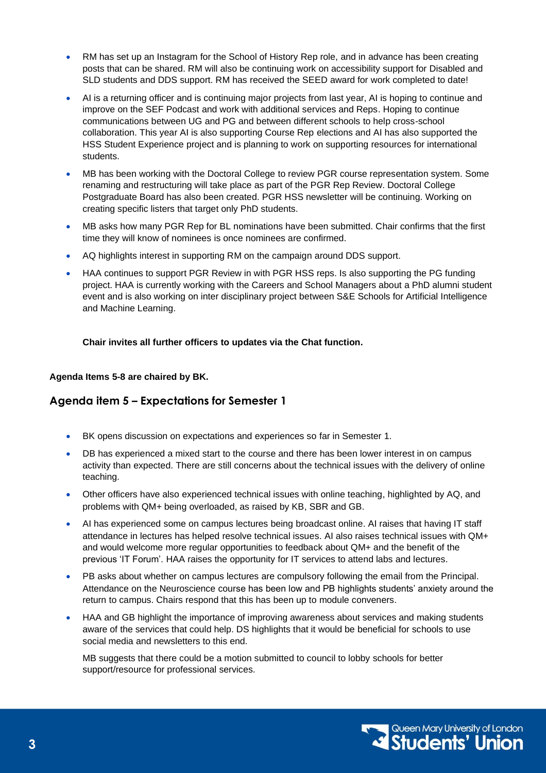- RM has set up an Instagram for the School of History Rep role, and in advance has been creating posts that can be shared. RM will also be continuing work on accessibility support for Disabled and SLD students and DDS support. RM has received the SEED award for work completed to date!
- AI is a returning officer and is continuing major projects from last year, AI is hoping to continue and improve on the SEF Podcast and work with additional services and Reps. Hoping to continue communications between UG and PG and between different schools to help cross-school collaboration. This year AI is also supporting Course Rep elections and AI has also supported the HSS Student Experience project and is planning to work on supporting resources for international students.
- MB has been working with the Doctoral College to review PGR course representation system. Some renaming and restructuring will take place as part of the PGR Rep Review. Doctoral College Postgraduate Board has also been created. PGR HSS newsletter will be continuing. Working on creating specific listers that target only PhD students.
- MB asks how many PGR Rep for BL nominations have been submitted. Chair confirms that the first time they will know of nominees is once nominees are confirmed.
- AQ highlights interest in supporting RM on the campaign around DDS support.
- HAA continues to support PGR Review in with PGR HSS reps. Is also supporting the PG funding project. HAA is currently working with the Careers and School Managers about a PhD alumni student event and is also working on inter disciplinary project between S&E Schools for Artificial Intelligence and Machine Learning.

**Chair invites all further officers to updates via the Chat function.**

#### **Agenda Items 5-8 are chaired by BK.**

# **Agenda item 5 – Expectations for Semester 1**

- BK opens discussion on expectations and experiences so far in Semester 1.
- DB has experienced a mixed start to the course and there has been lower interest in on campus activity than expected. There are still concerns about the technical issues with the delivery of online teaching.
- Other officers have also experienced technical issues with online teaching, highlighted by AQ, and problems with QM+ being overloaded, as raised by KB, SBR and GB.
- AI has experienced some on campus lectures being broadcast online. AI raises that having IT staff attendance in lectures has helped resolve technical issues. AI also raises technical issues with QM+ and would welcome more regular opportunities to feedback about QM+ and the benefit of the previous 'IT Forum'. HAA raises the opportunity for IT services to attend labs and lectures.
- PB asks about whether on campus lectures are compulsory following the email from the Principal. Attendance on the Neuroscience course has been low and PB highlights students' anxiety around the return to campus. Chairs respond that this has been up to module conveners.
- HAA and GB highlight the importance of improving awareness about services and making students aware of the services that could help. DS highlights that it would be beneficial for schools to use social media and newsletters to this end.

MB suggests that there could be a motion submitted to council to lobby schools for better support/resource for professional services.

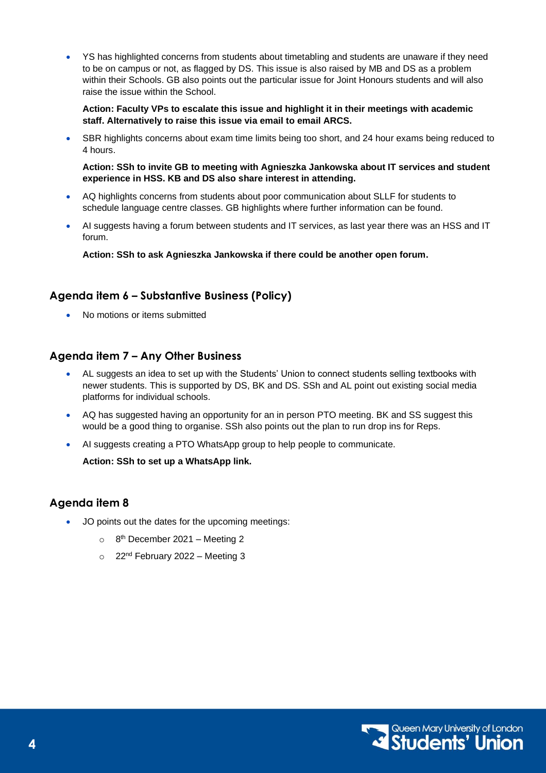• YS has highlighted concerns from students about timetabling and students are unaware if they need to be on campus or not, as flagged by DS. This issue is also raised by MB and DS as a problem within their Schools. GB also points out the particular issue for Joint Honours students and will also raise the issue within the School.

**Action: Faculty VPs to escalate this issue and highlight it in their meetings with academic staff. Alternatively to raise this issue via email to email ARCS.**

SBR highlights concerns about exam time limits being too short, and 24 hour exams being reduced to 4 hours.

**Action: SSh to invite GB to meeting with Agnieszka Jankowska about IT services and student experience in HSS. KB and DS also share interest in attending.**

- AQ highlights concerns from students about poor communication about SLLF for students to schedule language centre classes. GB highlights where further information can be found.
- AI suggests having a forum between students and IT services, as last year there was an HSS and IT forum.

**Action: SSh to ask Agnieszka Jankowska if there could be another open forum.**

#### **Agenda item 6 – Substantive Business (Policy)**

• No motions or items submitted

#### **Agenda item 7 – Any Other Business**

- AL suggests an idea to set up with the Students' Union to connect students selling textbooks with newer students. This is supported by DS, BK and DS. SSh and AL point out existing social media platforms for individual schools.
- AQ has suggested having an opportunity for an in person PTO meeting. BK and SS suggest this would be a good thing to organise. SSh also points out the plan to run drop ins for Reps.
- AI suggests creating a PTO WhatsApp group to help people to communicate.

**Action: SSh to set up a WhatsApp link.** 

#### **Agenda item 8**

- JO points out the dates for the upcoming meetings:
	- $\circ$  8<sup>th</sup> December 2021 Meeting 2
	- $\circ$  22<sup>nd</sup> February 2022 Meeting 3